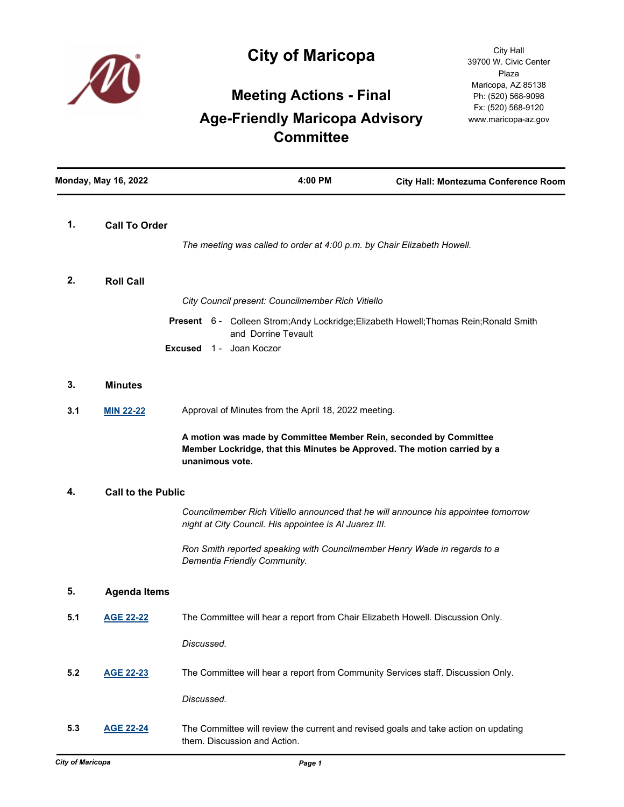

## **City of Maricopa**

## **Meeting Actions - Final Age-Friendly Maricopa Advisory Committee**

| <b>Monday, May 16, 2022</b> |                           | 4:00 PM                                                                                                                                                          | City Hall: Montezuma Conference Room |
|-----------------------------|---------------------------|------------------------------------------------------------------------------------------------------------------------------------------------------------------|--------------------------------------|
| 1.                          | <b>Call To Order</b>      | The meeting was called to order at 4:00 p.m. by Chair Elizabeth Howell.                                                                                          |                                      |
| 2.                          | <b>Roll Call</b>          |                                                                                                                                                                  |                                      |
|                             |                           | City Council present: Councilmember Rich Vitiello                                                                                                                |                                      |
|                             |                           | Present 6 - Colleen Strom; Andy Lockridge; Elizabeth Howell; Thomas Rein; Ronald Smith<br>and Dorrine Tevault<br><b>Excused</b> 1 - Joan Koczor                  |                                      |
|                             |                           |                                                                                                                                                                  |                                      |
| 3.                          | <b>Minutes</b>            |                                                                                                                                                                  |                                      |
| 3.1                         | <b>MIN 22-22</b>          | Approval of Minutes from the April 18, 2022 meeting.                                                                                                             |                                      |
|                             |                           | A motion was made by Committee Member Rein, seconded by Committee<br>Member Lockridge, that this Minutes be Approved. The motion carried by a<br>unanimous vote. |                                      |
| 4.                          | <b>Call to the Public</b> |                                                                                                                                                                  |                                      |
|                             |                           | Councilmember Rich Vitiello announced that he will announce his appointee tomorrow<br>night at City Council. His appointee is AI Juarez III.                     |                                      |
|                             |                           | Ron Smith reported speaking with Councilmember Henry Wade in regards to a<br>Dementia Friendly Community.                                                        |                                      |
| 5.                          | <b>Agenda Items</b>       |                                                                                                                                                                  |                                      |
| 5.1                         | <b>AGE 22-22</b>          | The Committee will hear a report from Chair Elizabeth Howell. Discussion Only.                                                                                   |                                      |
|                             |                           | Discussed.                                                                                                                                                       |                                      |
| 5.2                         | <b>AGE 22-23</b>          | The Committee will hear a report from Community Services staff. Discussion Only.                                                                                 |                                      |
|                             |                           | Discussed.                                                                                                                                                       |                                      |
| 5.3                         | <b>AGE 22-24</b>          | The Committee will review the current and revised goals and take action on updating<br>them. Discussion and Action.                                              |                                      |